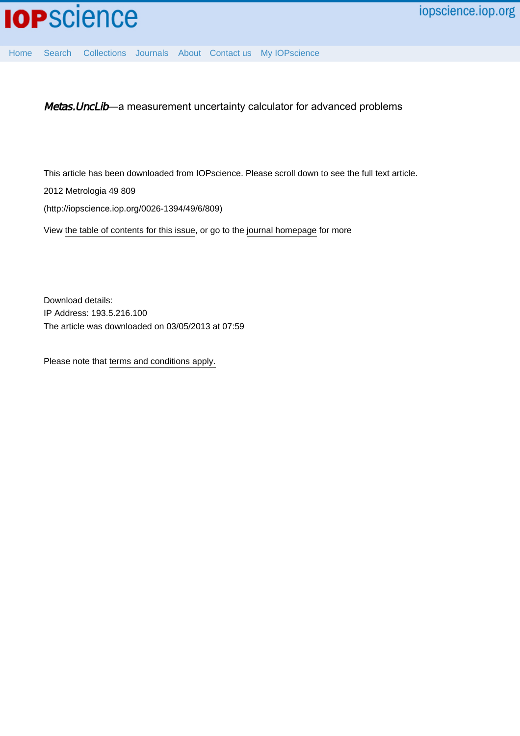

[Home](http://iopscience.iop.org/) [Search](http://iopscience.iop.org/search) [Collections](http://iopscience.iop.org/collections) [Journals](http://iopscience.iop.org/journals) [About](http://iopscience.iop.org/page/aboutioppublishing) [Contact us](http://iopscience.iop.org/contact) [My IOPscience](http://iopscience.iop.org/myiopscience)

Metas.UncLib—a measurement uncertainty calculator for advanced problems

This article has been downloaded from IOPscience. Please scroll down to see the full text article.

2012 Metrologia 49 809

(http://iopscience.iop.org/0026-1394/49/6/809)

View [the table of contents for this issue](http://iopscience.iop.org/0026-1394/49/6), or go to the [journal homepage](http://iopscience.iop.org/0026-1394) for more

Download details: IP Address: 193.5.216.100 The article was downloaded on 03/05/2013 at 07:59

Please note that [terms and conditions apply.](http://iopscience.iop.org/page/terms)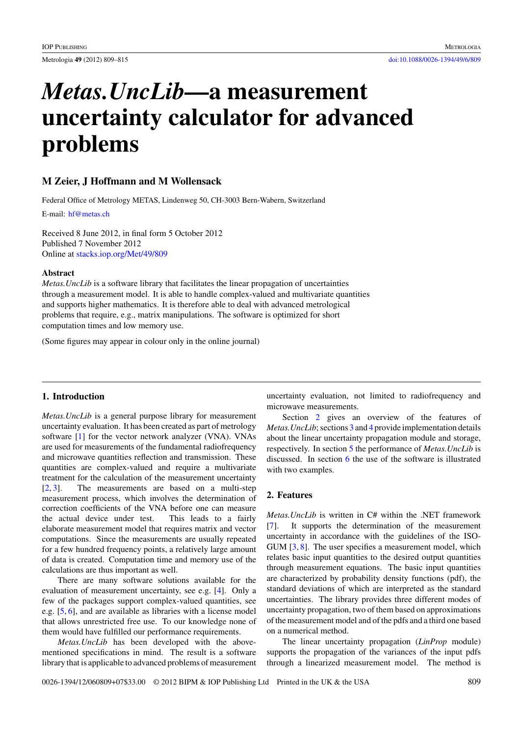# *Metas.UncLib***—a measurement uncertainty calculator for advanced problems**

## **M Zeier, J Hoffmann and M Wollensack**

Federal Office of Metrology METAS, Lindenweg 50, CH-3003 Bern-Wabern, Switzerland

E-mail: [hf@metas.ch](mailto: hf@metas.ch)

Received 8 June 2012, in final form 5 October 2012 Published 7 November 2012 Online at [stacks.iop.org/Met/49/809](http://stacks.iop.org/Met/49/809)

#### **Abstract**

*Metas.UncLib* is a software library that facilitates the linear propagation of uncertainties through a measurement model. It is able to handle complex-valued and multivariate quantities and supports higher mathematics. It is therefore able to deal with advanced metrological problems that require, e.g., matrix manipulations. The software is optimized for short computation times and low memory use.

(Some figures may appear in colour only in the online journal)

### **1. Introduction**

*Metas.UncLib* is a general purpose library for measurement uncertainty evaluation. It has been created as part of metrology software [\[1\]](#page-7-0) for the vector network analyzer (VNA). VNAs are used for measurements of the fundamental radiofrequency and microwave quantities reflection and transmission. These quantities are complex-valued and require a multivariate treatment for the calculation of the measurement uncertainty [\[2,](#page-7-0) [3\]](#page-7-0). The measurements are based on a multi-step measurement process, which involves the determination of correction coefficients of the VNA before one can measure the actual device under test. This leads to a fairly elaborate measurement model that requires matrix and vector computations. Since the measurements are usually repeated for a few hundred frequency points, a relatively large amount of data is created. Computation time and memory use of the calculations are thus important as well.

There are many software solutions available for the evaluation of measurement uncertainty, see e.g. [\[4\]](#page-7-0). Only a few of the packages support complex-valued quantities, see e.g. [\[5,](#page-7-0) [6\]](#page-7-0), and are available as libraries with a license model that allows unrestricted free use. To our knowledge none of them would have fulfilled our performance requirements.

*Metas.UncLib* has been developed with the abovementioned specifications in mind. The result is a software library that is applicable to advanced problems of measurement uncertainty evaluation, not limited to radiofrequency and microwave measurements.

Section 2 gives an overview of the features of *Metas.UncLib*; sections [3](#page-2-0) and [4](#page-5-0) provide implementation details about the linear uncertainty propagation module and storage, respectively. In section [5](#page-5-0) the performance of *Metas.UncLib* is discussed. In section [6](#page-6-0) the use of the software is illustrated with two examples.

## **2. Features**

*Metas.UncLib* is written in C# within the .NET framework [\[7\]](#page-7-0). It supports the determination of the measurement uncertainty in accordance with the guidelines of the ISO-GUM [\[3,](#page-7-0) [8\]](#page-7-0). The user specifies a measurement model, which relates basic input quantities to the desired output quantities through measurement equations. The basic input quantities are characterized by probability density functions (pdf), the standard deviations of which are interpreted as the standard uncertainties. The library provides three different modes of uncertainty propagation, two of them based on approximations of the measurement model and of the pdfs and a third one based on a numerical method.

The linear uncertainty propagation (*LinProp* module) supports the propagation of the variances of the input pdfs through a linearized measurement model. The method is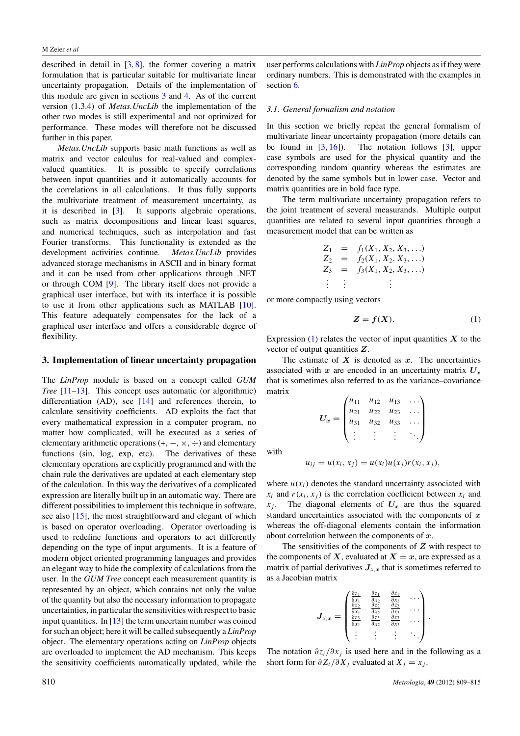<span id="page-2-0"></span>described in detail in [\[3,](#page-7-0) [8\]](#page-7-0), the former covering a matrix formulation that is particular suitable for multivariate linear uncertainty propagation. Details of the implementation of this module are given in sections 3 and [4.](#page-5-0) As of the current version (1.3.4) of *Metas.UncLib* the implementation of the other two modes is still experimental and not optimized for performance. These modes will therefore not be discussed further in this paper.

*Metas.UncLib* supports basic math functions as well as matrix and vector calculus for real-valued and complexvalued quantities. It is possible to specify correlations between input quantities and it automatically accounts for the correlations in all calculations. It thus fully supports the multivariate treatment of measurement uncertainty, as it is described in [\[3\]](#page-7-0). It supports algebraic operations, such as matrix decompositions and linear least squares, and numerical techniques, such as interpolation and fast Fourier transforms. This functionality is extended as the development activities continue. *Metas.UncLib* provides advanced storage mechanisms in ASCII and in binary format and it can be used from other applications through .NET or through COM [\[9\]](#page-7-0). The library itself does not provide a graphical user interface, but with its interface it is possible to use it from other applications such as MATLAB [\[10\]](#page-7-0). This feature adequately compensates for the lack of a graphical user interface and offers a considerable degree of flexibility.

#### **3. Implementation of linear uncertainty propagation**

The *LinProp* module is based on a concept called *GUM Tree* [\[11–13\]](#page-7-0). This concept uses automatic (or algorithmic) differentiation (AD), see [\[14\]](#page-7-0) and references therein, to calculate sensitivity coefficients. AD exploits the fact that every mathematical expression in a computer program, no matter how complicated, will be executed as a series of elementary arithmetic operations  $(+, -, \times, \div)$  and elementary functions (sin, log, exp, etc). The derivatives of these functions (sin,  $log$ ,  $exp$ ,  $etc$ ). elementary operations are explicitly programmed and with the chain rule the derivatives are updated at each elementary step of the calculation. In this way the derivatives of a complicated expression are literally built up in an automatic way. There are different possibilities to implement this technique in software, see also [\[15\]](#page-7-0), the most straightforward and elegant of which is based on operator overloading. Operator overloading is used to redefine functions and operators to act differently depending on the type of input arguments. It is a feature of modern object oriented programming languages and provides an elegant way to hide the complexity of calculations from the user. In the *GUM Tree* concept each measurement quantity is represented by an object, which contains not only the value of the quantity but also the necessary information to propagate uncertainties, in particular the sensitivities with respect to basic input quantities. In  $[13]$  the term uncertain number was coined for such an object; here it will be called subsequently a *LinProp* object. The elementary operations acting on *LinProp* objects are overloaded to implement the AD mechanism. This keeps the sensitivity coefficients automatically updated, while the

user performs calculations with *LinProp* objects as if they were ordinary numbers. This is demonstrated with the examples in section [6.](#page-6-0)

## *3.1. General formalism and notation*

In this section we briefly repeat the general formalism of multivariate linear uncertainty propagation (more details can be found in  $[3, 16]$  $[3, 16]$  $[3, 16]$ . The notation follows  $[3]$ , upper case symbols are used for the physical quantity and the corresponding random quantity whereas the estimates are denoted by the same symbols but in lower case. Vector and matrix quantities are in bold face type.

The term multivariate uncertainty propagation refers to the joint treatment of several measurands. Multiple output quantities are related to several input quantities through a measurement model that can be written as

$$
Z_1 = f_1(X_1, X_2, X_3, ...)
$$
  
\n
$$
Z_2 = f_2(X_1, X_2, X_3, ...)
$$
  
\n
$$
Z_3 = f_3(X_1, X_2, X_3, ...)
$$
  
\n
$$
\vdots \qquad \vdots
$$

or more compactly using vectors

$$
Z = f(X). \tag{1}
$$

Expression  $(1)$  relates the vector of input quantities  $X$  to the vector of output quantities *Z*.

The estimate of  $X$  is denoted as  $x$ . The uncertainties associated with  $x$  are encoded in an uncertainty matrix  $U_x$ that is sometimes also referred to as the variance–covariance matrix

$$
U_x = \begin{pmatrix} u_{11} & u_{12} & u_{13} & \dots \\ u_{21} & u_{22} & u_{23} & \dots \\ u_{31} & u_{32} & u_{33} & \dots \\ \vdots & \vdots & \vdots & \ddots \end{pmatrix}
$$

with

$$
u_{ij} = u(x_i, x_j) = u(x_i)u(x_j)r(x_i, x_j),
$$

where  $u(x_i)$  denotes the standard uncertainty associated with  $x_i$  and  $r(x_i, x_j)$  is the correlation coefficient between  $x_i$  and  $x_j$ . The diagonal elements of  $U_x$  are thus the squared standard uncertainties associated with the components of *x* whereas the off-diagonal elements contain the information about correlation between the components of *x*.

The sensitivities of the components of *Z* with respect to the components of  $X$ , evaluated at  $X = x$ , are expressed as a matrix of partial derivatives  $J_{z,x}$  that is sometimes referred to as a Jacobian matrix

$$
J_{z,x} = \begin{pmatrix} \frac{\partial z_1}{\partial x_1} & \frac{\partial z_1}{\partial x_2} & \frac{\partial z_1}{\partial x_3} & \cdots \\ \frac{\partial z_2}{\partial x_1} & \frac{\partial z_2}{\partial x_2} & \frac{\partial z_2}{\partial x_3} & \cdots \\ \frac{\partial z_3}{\partial x_1} & \frac{\partial z_3}{\partial x_2} & \frac{\partial z_3}{\partial x_3} & \cdots \\ \vdots & \vdots & \vdots & \ddots \end{pmatrix}
$$

The notation  $\partial z_i/\partial x_j$  is used here and in the following as a short form for  $\partial Z_i/\partial X_j$  evaluated at  $X_j = x_j$ .

*.*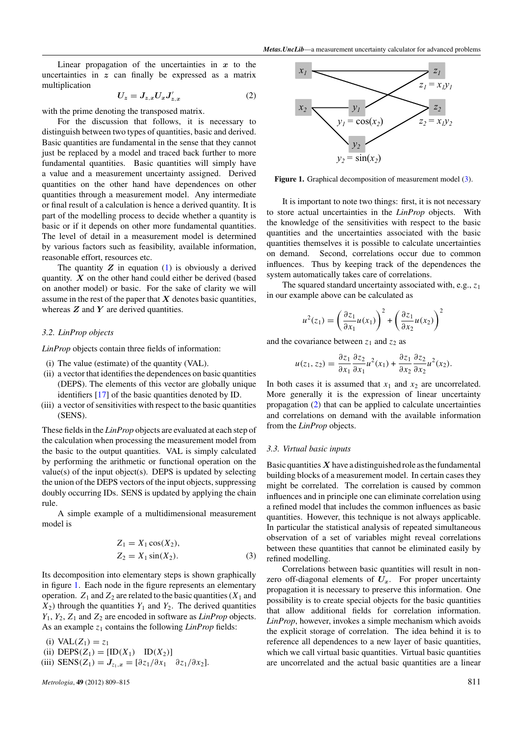<span id="page-3-0"></span>Linear propagation of the uncertainties in  $x$  to the uncertainties in *z* can finally be expressed as a matrix multiplication

$$
U_z = J_{z,x} U_x J'_{z,x} \tag{2}
$$

with the prime denoting the transposed matrix.

For the discussion that follows, it is necessary to distinguish between two types of quantities, basic and derived. Basic quantities are fundamental in the sense that they cannot just be replaced by a model and traced back further to more fundamental quantities. Basic quantities will simply have a value and a measurement uncertainty assigned. Derived quantities on the other hand have dependences on other quantities through a measurement model. Any intermediate or final result of a calculation is hence a derived quantity. It is part of the modelling process to decide whether a quantity is basic or if it depends on other more fundamental quantities. The level of detail in a measurement model is determined by various factors such as feasibility, available information, reasonable effort, resources etc.

The quantity  $Z$  in equation  $(1)$  is obviously a derived quantity. *X* on the other hand could either be derived (based on another model) or basic. For the sake of clarity we will assume in the rest of the paper that *X* denotes basic quantities, whereas *Z* and *Y* are derived quantities.

#### *3.2. LinProp objects*

*LinProp* objects contain three fields of information:

- (i) The value (estimate) of the quantity (VAL).
- (ii) a vector that identifies the dependences on basic quantities (DEPS). The elements of this vector are globally unique identifiers [\[17\]](#page-7-0) of the basic quantities denoted by ID.
- (iii) a vector of sensitivities with respect to the basic quantities (SENS).

These fields in the *LinProp* objects are evaluated at each step of the calculation when processing the measurement model from the basic to the output quantities. VAL is simply calculated by performing the arithmetic or functional operation on the  $value(s)$  of the input object(s). DEPS is updated by selecting the union of the DEPS vectors of the input objects, suppressing doubly occurring IDs. SENS is updated by applying the chain rule.

A simple example of a multidimensional measurement model is

$$
Z_1 = X_1 \cos(X_2), Z_2 = X_1 \sin(X_2).
$$
 (3)

Its decomposition into elementary steps is shown graphically in figure 1. Each node in the figure represents an elementary operation.  $Z_1$  and  $Z_2$  are related to the basic quantities ( $X_1$  and  $X_2$ ) through the quantities  $Y_1$  and  $Y_2$ . The derived quantities *Y*1, *Y*2, *Z*<sup>1</sup> and *Z*<sup>2</sup> are encoded in software as *LinProp* objects. As an example  $z_1$  contains the following *LinProp* fields:

(i)  $VAL(Z_1) = z_1$ 

- (ii)  $\text{DEPS}(Z_1) = [\text{ID}(X_1) \quad \text{ID}(X_2)]$
- (iii) SENS( $Z_1$ *)* =  $J_{z_1,x}$  = [ $\partial z_1/\partial x_1$   $\partial z_1/\partial x_2$ ].



Figure 1. Graphical decomposition of measurement model (3).

It is important to note two things: first, it is not necessary to store actual uncertainties in the *LinProp* objects. With the knowledge of the sensitivities with respect to the basic quantities and the uncertainties associated with the basic quantities themselves it is possible to calculate uncertainties on demand. Second, correlations occur due to common influences. Thus by keeping track of the dependences the system automatically takes care of correlations.

The squared standard uncertainty associated with, e.g., *z*<sup>1</sup> in our example above can be calculated as

$$
u^{2}(z_{1}) = \left(\frac{\partial z_{1}}{\partial x_{1}}u(x_{1})\right)^{2} + \left(\frac{\partial z_{1}}{\partial x_{2}}u(x_{2})\right)^{2}
$$

and the covariance between  $z_1$  and  $z_2$  as

$$
u(z_1, z_2) = \frac{\partial z_1}{\partial x_1} \frac{\partial z_2}{\partial x_1} u^2(x_1) + \frac{\partial z_1}{\partial x_2} \frac{\partial z_2}{\partial x_2} u^2(x_2).
$$

In both cases it is assumed that  $x_1$  and  $x_2$  are uncorrelated. More generally it is the expression of linear uncertainty propagation (2) that can be applied to calculate uncertainties and correlations on demand with the available information from the *LinProp* objects.

#### *3.3. Virtual basic inputs*

Basic quantities  $X$  have a distinguished role as the fundamental building blocks of a measurement model. In certain cases they might be correlated. The correlation is caused by common influences and in principle one can eliminate correlation using a refined model that includes the common influences as basic quantities. However, this technique is not always applicable. In particular the statistical analysis of repeated simultaneous observation of a set of variables might reveal correlations between these quantities that cannot be eliminated easily by refined modelling.

Correlations between basic quantities will result in nonzero off-diagonal elements of  $U_x$ . For proper uncertainty propagation it is necessary to preserve this information. One possibility is to create special objects for the basic quantities that allow additional fields for correlation information. *LinProp*, however, invokes a simple mechanism which avoids the explicit storage of correlation. The idea behind it is to reference all dependences to a new layer of basic quantities, which we call virtual basic quantities. Virtual basic quantities are uncorrelated and the actual basic quantities are a linear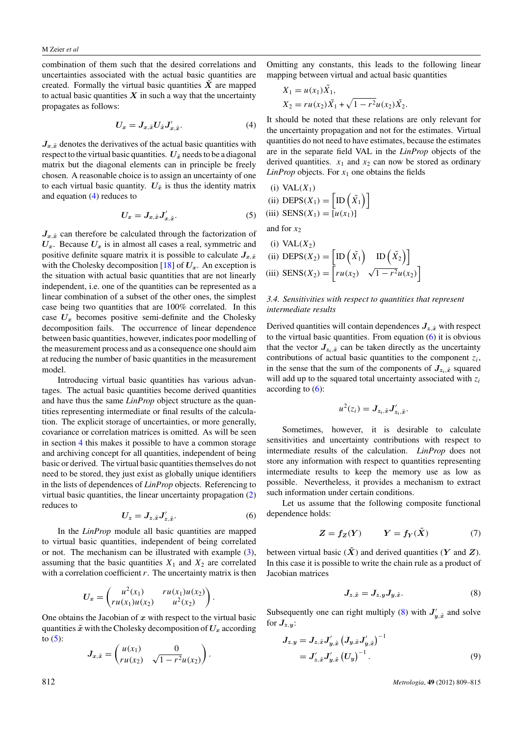<span id="page-4-0"></span>combination of them such that the desired correlations and uncertainties associated with the actual basic quantities are created. Formally the virtual basic quantities  $\tilde{X}$  are mapped to actual basic quantities  $X$  in such a way that the uncertainty propagates as follows:

$$
U_x = J_{x,\tilde{x}} U_{\tilde{x}} J'_{x,\tilde{x}}.
$$
\n<sup>(4)</sup>

 $J_{x,x}$  denotes the derivatives of the actual basic quantities with respect to the virtual basic quantities.  $U_{\tilde{x}}$  needs to be a diagonal matrix but the diagonal elements can in principle be freely chosen. A reasonable choice is to assign an uncertainty of one to each virtual basic quantity.  $U_{\tilde{x}}$  is thus the identity matrix and equation (4) reduces to

$$
U_x = J_{x,\tilde{x}} J'_{x,\tilde{x}}.
$$
 (5)

 $J_{x, \tilde{x}}$  can therefore be calculated through the factorization of  $U_x$ . Because  $U_x$  is in almost all cases a real, symmetric and positive definite square matrix it is possible to calculate  $J_{x,\tilde{x}}$ with the Cholesky decomposition  $[18]$  of  $U_x$ . An exception is the situation with actual basic quantities that are not linearly independent, i.e. one of the quantities can be represented as a linear combination of a subset of the other ones, the simplest case being two quantities that are 100% correlated. In this case  $U_x$  becomes positive semi-definite and the Cholesky decomposition fails. The occurrence of linear dependence between basic quantities, however, indicates poor modelling of the measurement process and as a consequence one should aim at reducing the number of basic quantities in the measurement model.

Introducing virtual basic quantities has various advantages. The actual basic quantities become derived quantities and have thus the same *LinProp* object structure as the quantities representing intermediate or final results of the calculation. The explicit storage of uncertainties, or more generally, covariance or correlation matrices is omitted. As will be seen in section [4](#page-5-0) this makes it possible to have a common storage and archiving concept for all quantities, independent of being basic or derived. The virtual basic quantities themselves do not need to be stored, they just exist as globally unique identifiers in the lists of dependences of *LinProp* objects. Referencing to virtual basic quantities, the linear uncertainty propagation [\(2\)](#page-3-0) reduces to

$$
U_z = J_{z,\tilde{x}} J'_{z,\tilde{x}}.\tag{6}
$$

In the *LinProp* module all basic quantities are mapped to virtual basic quantities, independent of being correlated or not. The mechanism can be illustrated with example [\(3\)](#page-3-0), assuming that the basic quantities  $X_1$  and  $X_2$  are correlated with a correlation coefficient *r*. The uncertainty matrix is then

$$
U_x = \begin{pmatrix} u^2(x_1) & ru(x_1)u(x_2) \ ru(x_1)u(x_2) & u^2(x_2) \end{pmatrix}.
$$

One obtains the Jacobian of *x* with respect to the virtual basic quantities  $\tilde{x}$  with the Cholesky decomposition of  $U_x$  according to  $(5)$ :

$$
J_{x,\tilde{x}} = \begin{pmatrix} u(x_1) & 0 \\ ru(x_2) & \sqrt{1 - r^2}u(x_2) \end{pmatrix}.
$$

Omitting any constants, this leads to the following linear mapping between virtual and actual basic quantities

$$
X_1 = u(x_1)\tilde{X_1},
$$
  
\n
$$
X_2 = ru(x_2)\tilde{X_1} + \sqrt{1 - r^2}u(x_2)\tilde{X_2}.
$$

It should be noted that these relations are only relevant for the uncertainty propagation and not for the estimates. Virtual quantities do not need to have estimates, because the estimates are in the separate field VAL in the *LinProp* objects of the derived quantities.  $x_1$  and  $x_2$  can now be stored as ordinary *LinProp* objects. For  $x_1$  one obtains the fields

(i) VAL(
$$
X_1
$$
)  
\n(ii) DEPS( $X_1$ ) =  $\left[ \text{ID} \left( \tilde{X}_1 \right) \right]$   
\n(iii) SENS( $X_1$ ) =  $\left[ u(x_1) \right]$   
\nand for  $x_2$   
\n(i) VA( $X$ )

(ii) VAL(
$$
x_2
$$
)  
(ii) DEPS( $X_2$ ) =  $\left[ \text{ID} \left( \tilde{X}_1 \right) \text{ ID} \left( \tilde{X}_2 \right) \right]$   
(iii) SENS( $X_2$ ) =  $\left[ r u(x_2) \sqrt{1 - r^2} u(x_2) \right]$ 

## *3.4. Sensitivities with respect to quantities that represent intermediate results*

Derived quantities will contain dependences  $J_{z,\tilde{x}}$  with respect to the virtual basic quantities. From equation (6) it is obvious that the vector  $J_{z_i, \tilde{x}}$  can be taken directly as the uncertainty contributions of actual basic quantities to the component  $z_i$ , in the sense that the sum of the components of  $J_{z_i, \tilde{x}}$  squared will add up to the squared total uncertainty associated with *zi* according to  $(6)$ :

$$
u^2(z_i) = \mathbf{J}_{z_i,\tilde{x}} \mathbf{J}_{z_i,\tilde{x}}'
$$

Sometimes, however, it is desirable to calculate sensitivities and uncertainty contributions with respect to intermediate results of the calculation. *LinProp* does not store any information with respect to quantities representing intermediate results to keep the memory use as low as possible. Nevertheless, it provides a mechanism to extract such information under certain conditions.

Let us assume that the following composite functional dependence holds:

$$
Z = f_Z(Y) \qquad Y = f_Y(\tilde{X}) \tag{7}
$$

between virtual basic  $(\tilde{X})$  and derived quantities (*Y* and *Z*). In this case it is possible to write the chain rule as a product of Jacobian matrices

$$
J_{z,\tilde{x}} = J_{z,y} J_{y,\tilde{x}}.\tag{8}
$$

Subsequently one can right multiply (8) with  $J'_{y, \tilde{x}}$  and solve for  $J_{z,y}$ :

$$
J_{z,y} = J_{z,\tilde{x}} J'_{y,\tilde{x}} (J_{y,\tilde{x}} J'_{y,\tilde{x}})^{-1}
$$
  
=  $J'_{z,\tilde{x}} J'_{y,\tilde{x}} (U_y)^{-1}$ . (9)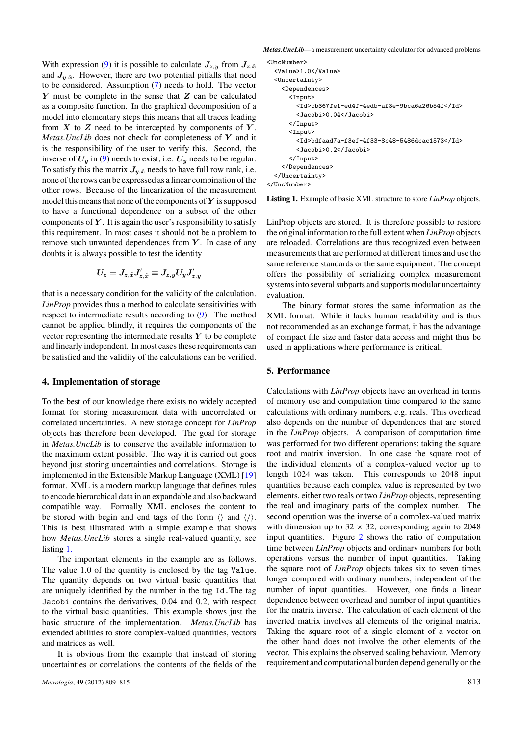<span id="page-5-0"></span>With expression [\(9\)](#page-4-0) it is possible to calculate  $J_{z,y}$  from  $J_{z,\tilde{x}}$ and  $J_{v, x}$ . However, there are two potential pitfalls that need to be considered. Assumption [\(7\)](#page-4-0) needs to hold. The vector *Y* must be complete in the sense that *Z* can be calculated as a composite function. In the graphical decomposition of a model into elementary steps this means that all traces leading from  $X$  to  $Z$  need to be intercepted by components of  $Y$ . *Metas.UncLib* does not check for completeness of *Y* and it is the responsibility of the user to verify this. Second, the inverse of  $U_y$  in [\(9\)](#page-4-0) needs to exist, i.e.  $U_y$  needs to be regular. To satisfy this the matrix  $J_{y,x}$  needs to have full row rank, i.e. none of the rows can be expressed as a linear combination of the other rows. Because of the linearization of the measurement model this means that none of the components of*Y* is supposed to have a functional dependence on a subset of the other components of *Y* . It is again the user's responsibility to satisfy this requirement. In most cases it should not be a problem to remove such unwanted dependences from *Y* . In case of any doubts it is always possible to test the identity

$$
U_z = J_{z,\tilde{x}} J'_{z,\tilde{x}} \equiv J_{z,y} U_y J'_{z,y}
$$

that is a necessary condition for the validity of the calculation. *LinProp* provides thus a method to calculate sensitivities with respect to intermediate results according to [\(9\)](#page-4-0). The method cannot be applied blindly, it requires the components of the vector representing the intermediate results *Y* to be complete and linearly independent. In most cases these requirements can be satisfied and the validity of the calculations can be verified.

## **4. Implementation of storage**

To the best of our knowledge there exists no widely accepted format for storing measurement data with uncorrelated or correlated uncertainties. A new storage concept for *LinProp* objects has therefore been developed. The goal for storage in *Metas.UncLib* is to conserve the available information to the maximum extent possible. The way it is carried out goes beyond just storing uncertainties and correlations. Storage is implemented in the Extensible Markup Language (XML) [\[19\]](#page-7-0) format. XML is a modern markup language that defines rules to encode hierarchical data in an expandable and also backward compatible way. Formally XML encloses the content to be stored with begin and end tags of the form  $\langle \rangle$  and  $\langle \rangle$ . This is best illustrated with a simple example that shows how *Metas.UncLib* stores a single real-valued quantity, see listing [1.](#page-3-0)

The important elements in the example are as follows. The value 1.0 of the quantity is enclosed by the tag Value. The quantity depends on two virtual basic quantities that are uniquely identified by the number in the tag Id.The tag Jacobi contains the derivatives, 0*.*04 and 0*.*2, with respect to the virtual basic quantities. This example shows just the basic structure of the implementation. *Metas.UncLib* has extended abilities to store complex-valued quantities, vectors and matrices as well.

It is obvious from the example that instead of storing uncertainties or correlations the contents of the fields of the

*Metas.UncLib*—a measurement uncertainty calculator for advanced problems

| <uncnumber></uncnumber>                       |  |
|-----------------------------------------------|--|
| <value>1.0</value>                            |  |
| <uncertainty></uncertainty>                   |  |
| <dependences></dependences>                   |  |
| $\langle$ Input $\rangle$                     |  |
| <id>cb367fe1-ed4f-4edb-af3e-9bca6a26b54f</id> |  |
| <jacobi>0.04</jacobi>                         |  |
| $\langle$ /Input>                             |  |
| $\langle$ Input $\rangle$                     |  |
| <id>bdfaad7a-f3ef-4f33-8c48-5486dcac1573</id> |  |
| <jacobi>0.2</jacobi>                          |  |
| $\langle$ /Input>                             |  |
|                                               |  |
|                                               |  |
|                                               |  |
|                                               |  |

**Listing 1.** Example of basic XML structure to store *LinProp* objects.

LinProp objects are stored. It is therefore possible to restore the original information to the full extent when *LinProp* objects are reloaded. Correlations are thus recognized even between measurements that are performed at different times and use the same reference standards or the same equipment. The concept offers the possibility of serializing complex measurement systems into several subparts and supports modular uncertainty evaluation.

The binary format stores the same information as the XML format. While it lacks human readability and is thus not recommended as an exchange format, it has the advantage of compact file size and faster data access and might thus be used in applications where performance is critical.

### **5. Performance**

Calculations with *LinProp* objects have an overhead in terms of memory use and computation time compared to the same calculations with ordinary numbers, e.g. reals. This overhead also depends on the number of dependences that are stored in the *LinProp* objects. A comparison of computation time was performed for two different operations: taking the square root and matrix inversion. In one case the square root of the individual elements of a complex-valued vector up to length 1024 was taken. This corresponds to 2048 input quantities because each complex value is represented by two elements, either two reals or two *LinProp* objects, representing the real and imaginary parts of the complex number. The second operation was the inverse of a complex-valued matrix with dimension up to  $32 \times 32$ , corresponding again to 2048 input quantities. Figure [2](#page-6-0) shows the ratio of computation time between *LinProp* objects and ordinary numbers for both operations versus the number of input quantities. Taking the square root of *LinProp* objects takes six to seven times longer compared with ordinary numbers, independent of the number of input quantities. However, one finds a linear dependence between overhead and number of input quantities for the matrix inverse. The calculation of each element of the inverted matrix involves all elements of the original matrix. Taking the square root of a single element of a vector on the other hand does not involve the other elements of the vector. This explains the observed scaling behaviour. Memory requirement and computational burden depend generally on the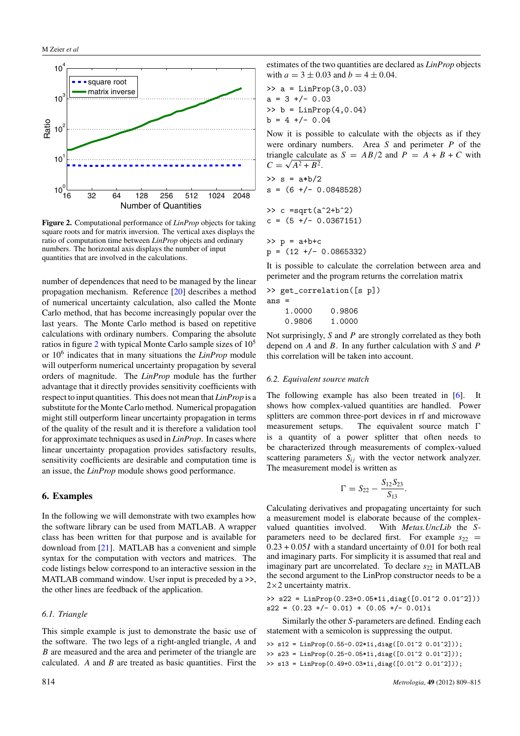<span id="page-6-0"></span>

**Figure 2.** Computational performance of *LinProp* objects for taking square roots and for matrix inversion. The vertical axes displays the ratio of computation time between *LinProp* objects and ordinary numbers. The horizontal axis displays the number of input quantities that are involved in the calculations.

number of dependences that need to be managed by the linear propagation mechanism. Reference [\[20\]](#page-7-0) describes a method of numerical uncertainty calculation, also called the Monte Carlo method, that has become increasingly popular over the last years. The Monte Carlo method is based on repetitive calculations with ordinary numbers. Comparing the absolute ratios in figure 2 with typical Monte Carlo sample sizes of 10<sup>5</sup> or 10<sup>6</sup> indicates that in many situations the *LinProp* module will outperform numerical uncertainty propagation by several orders of magnitude. The *LinProp* module has the further advantage that it directly provides sensitivity coefficients with respect to input quantities. This does not mean that *LinProp* is a substitute for the Monte Carlo method. Numerical propagation might still outperform linear uncertainty propagation in terms of the quality of the result and it is therefore a validation tool for approximate techniques as used in *LinProp*. In cases where linear uncertainty propagation provides satisfactory results, sensitivity coefficients are desirable and computation time is an issue, the *LinProp* module shows good performance.

## **6. Examples**

In the following we will demonstrate with two examples how the software library can be used from MATLAB. A wrapper class has been written for that purpose and is available for download from [\[21\]](#page-7-0). MATLAB has a convenient and simple syntax for the computation with vectors and matrices. The code listings below correspond to an interactive session in the MATLAB command window. User input is preceded by a  $\ge$ , the other lines are feedback of the application.

#### *6.1. Triangle*

This simple example is just to demonstrate the basic use of the software. The two legs of a right-angled triangle, *A* and *B* are measured and the area and perimeter of the triangle are calculated. *A* and *B* are treated as basic quantities. First the

>> a = LinProp(3,0.03) a = 3 +/- 0.03 >> b = LinProp(4,0.04) b = 4 +/- 0.04

Now it is possible to calculate with the objects as if they were ordinary numbers. Area *S* and perimeter *P* of the triangle calculate as  $S = AB/2$  and  $P = A + B + C$  with  $C = \sqrt{A^2 + B^2}$ .

>> s = a\*b/2 s = (6 +/- 0.0848528) >> c =sqrt(aˆ2+bˆ2) c = (5 +/- 0.0367151)

 $>> p = a+b+c$  $p = (12 +/- 0.0865332)$ 

It is possible to calculate the correlation between area and perimeter and the program returns the correlation matrix

|         | >> get_correlation([s p]) |  |              |  |  |
|---------|---------------------------|--|--------------|--|--|
| $ans =$ |                           |  |              |  |  |
|         |                           |  | 1 NNN A QRNA |  |  |

| 1.0000 | 0.9806 |
|--------|--------|
| 0.9806 | 1.0000 |

Not surprisingly, *S* and *P* are strongly correlated as they both depend on *A* and *B*. In any further calculation with *S* and *P* this correlation will be taken into account.

#### *6.2. Equivalent source match*

The following example has also been treated in  $[6]$ . shows how complex-valued quantities are handled. Power splitters are common three-port devices in rf and microwave measurement setups. The equivalent source match  $\Gamma$ is a quantity of a power splitter that often needs to be characterized through measurements of complex-valued scattering parameters  $S_{ij}$  with the vector network analyzer. The measurement model is written as

$$
\Gamma = S_{22} - \frac{S_{12}S_{23}}{S_{13}}.
$$

Calculating derivatives and propagating uncertainty for such a measurement model is elaborate because of the complexvalued quantities involved. With *Metas.UncLib* the *S*parameters need to be declared first. For example  $s_{22}$  = 0*.*23 + 0*.*05*I* with a standard uncertainty of 0.01 for both real and imaginary parts. For simplicity it is assumed that real and imaginary part are uncorrelated. To declare  $s_{22}$  in MATLAB the second argument to the LinProp constructor needs to be a  $2\times2$  uncertainty matrix.

>> s22 = LinProp(0.23+0.05\*1i,diag([0.01ˆ2 0.01ˆ2]))  $s22 = (0.23 +/- 0.01) + (0.05 +/- 0.01)i$ 

Similarly the other *S*-parameters are defined. Ending each statement with a semicolon is suppressing the output.

>> s12 = LinProp(0.55-0.02\*1i,diag([0.01ˆ2 0.01ˆ2])); >> s23 = LinProp(0.25-0.05\*1i,diag([0.01ˆ2 0.01ˆ2])); >> s13 = LinProp(0.49+0.03\*1i,diag([0.01ˆ2 0.01ˆ2]));